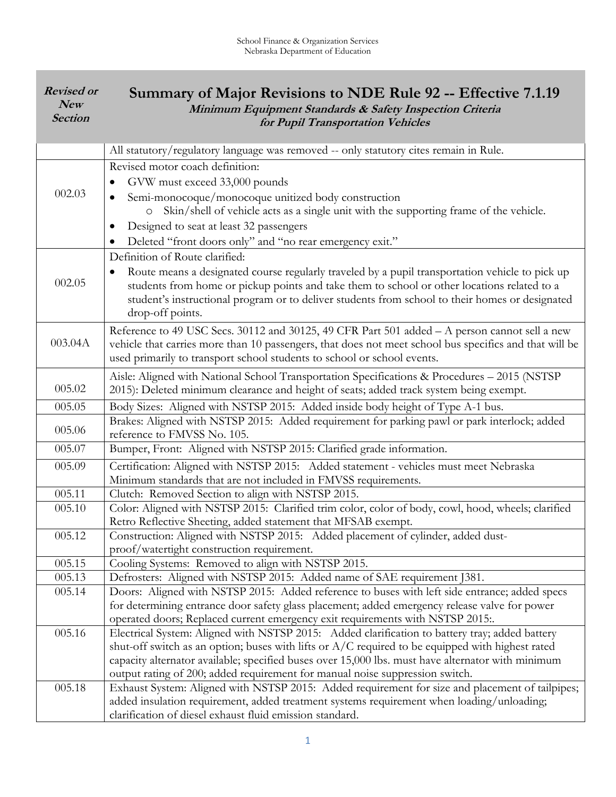| <b>Revised or</b><br>New<br><b>Section</b> | Summary of Major Revisions to NDE Rule 92 -- Effective 7.1.19<br>Minimum Equipment Standards & Safety Inspection Criteria<br>for Pupil Transportation Vehicles                                                                                                                                                                                                                            |
|--------------------------------------------|-------------------------------------------------------------------------------------------------------------------------------------------------------------------------------------------------------------------------------------------------------------------------------------------------------------------------------------------------------------------------------------------|
|                                            | All statutory/regulatory language was removed -- only statutory cites remain in Rule.                                                                                                                                                                                                                                                                                                     |
| 002.03                                     | Revised motor coach definition:<br>GVW must exceed 33,000 pounds<br>Semi-monocoque/monocoque unitized body construction<br>$\bullet$<br>Skin/shell of vehicle acts as a single unit with the supporting frame of the vehicle.<br>Designed to seat at least 32 passengers<br>Deleted "front doors only" and "no rear emergency exit."                                                      |
| 002.05                                     | Definition of Route clarified:<br>Route means a designated course regularly traveled by a pupil transportation vehicle to pick up<br>students from home or pickup points and take them to school or other locations related to a<br>student's instructional program or to deliver students from school to their homes or designated<br>drop-off points.                                   |
| 003.04A                                    | Reference to 49 USC Secs. 30112 and 30125, 49 CFR Part 501 added - A person cannot sell a new<br>vehicle that carries more than 10 passengers, that does not meet school bus specifics and that will be<br>used primarily to transport school students to school or school events.                                                                                                        |
| 005.02                                     | Aisle: Aligned with National School Transportation Specifications & Procedures - 2015 (NSTSP)<br>2015): Deleted minimum clearance and height of seats; added track system being exempt.                                                                                                                                                                                                   |
| 005.05                                     | Body Sizes: Aligned with NSTSP 2015: Added inside body height of Type A-1 bus.                                                                                                                                                                                                                                                                                                            |
| 005.06                                     | Brakes: Aligned with NSTSP 2015: Added requirement for parking pawl or park interlock; added<br>reference to FMVSS No. 105.                                                                                                                                                                                                                                                               |
| 005.07                                     | Bumper, Front: Aligned with NSTSP 2015: Clarified grade information.                                                                                                                                                                                                                                                                                                                      |
| 005.09                                     | Certification: Aligned with NSTSP 2015: Added statement - vehicles must meet Nebraska<br>Minimum standards that are not included in FMVSS requirements.                                                                                                                                                                                                                                   |
| 005.11                                     | Clutch: Removed Section to align with NSTSP 2015.                                                                                                                                                                                                                                                                                                                                         |
| 005.10                                     | Color: Aligned with NSTSP 2015: Clarified trim color, color of body, cowl, hood, wheels; clarified<br>Retro Reflective Sheeting, added statement that MFSAB exempt.                                                                                                                                                                                                                       |
| 005.12                                     | Construction: Aligned with NSTSP 2015: Added placement of cylinder, added dust-<br>proof/watertight construction requirement.                                                                                                                                                                                                                                                             |
| 005.15                                     | Cooling Systems: Removed to align with NSTSP 2015.                                                                                                                                                                                                                                                                                                                                        |
| 005.13                                     | Defrosters: Aligned with NSTSP 2015: Added name of SAE requirement J381.                                                                                                                                                                                                                                                                                                                  |
| 005.14                                     | Doors: Aligned with NSTSP 2015: Added reference to buses with left side entrance; added specs<br>for determining entrance door safety glass placement; added emergency release valve for power<br>operated doors; Replaced current emergency exit requirements with NSTSP 2015                                                                                                            |
| 005.16                                     | Electrical System: Aligned with NSTSP 2015: Added clarification to battery tray; added battery<br>shut-off switch as an option; buses with lifts or $A/C$ required to be equipped with highest rated<br>capacity alternator available; specified buses over 15,000 lbs. must have alternator with minimum<br>output rating of 200; added requirement for manual noise suppression switch. |
| 005.18                                     | Exhaust System: Aligned with NSTSP 2015: Added requirement for size and placement of tailpipes;<br>added insulation requirement, added treatment systems requirement when loading/unloading;<br>clarification of diesel exhaust fluid emission standard.                                                                                                                                  |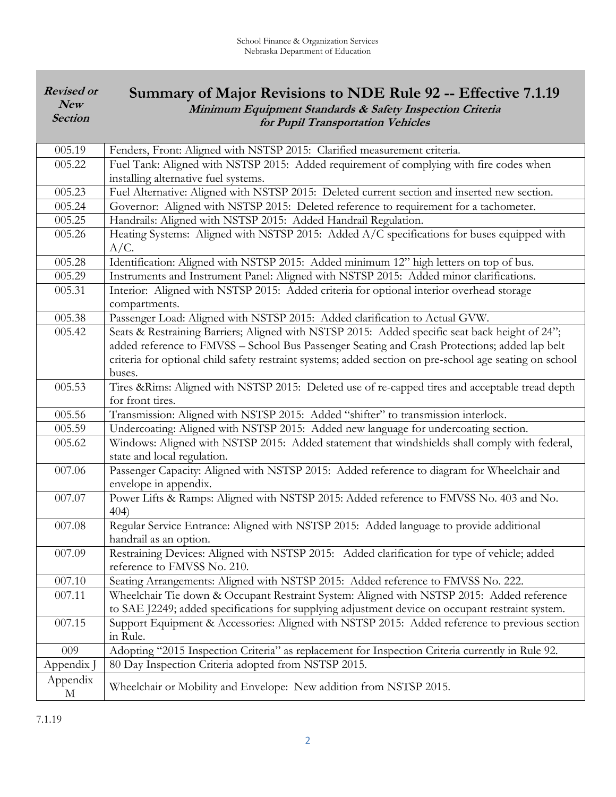| <b>Revised or</b><br>New<br><b>Section</b> | Summary of Major Revisions to NDE Rule 92 -- Effective 7.1.19<br>Minimum Equipment Standards & Safety Inspection Criteria<br>for Pupil Transportation Vehicles                                                                                                                                                       |
|--------------------------------------------|----------------------------------------------------------------------------------------------------------------------------------------------------------------------------------------------------------------------------------------------------------------------------------------------------------------------|
| 005.19                                     | Fenders, Front: Aligned with NSTSP 2015: Clarified measurement criteria.                                                                                                                                                                                                                                             |
| 005.22                                     | Fuel Tank: Aligned with NSTSP 2015: Added requirement of complying with fire codes when<br>installing alternative fuel systems.                                                                                                                                                                                      |
| 005.23                                     | Fuel Alternative: Aligned with NSTSP 2015: Deleted current section and inserted new section.                                                                                                                                                                                                                         |
| 005.24                                     | Governor: Aligned with NSTSP 2015: Deleted reference to requirement for a tachometer.                                                                                                                                                                                                                                |
| 005.25                                     | Handrails: Aligned with NSTSP 2015: Added Handrail Regulation.                                                                                                                                                                                                                                                       |
| 005.26                                     | Heating Systems: Aligned with NSTSP 2015: Added A/C specifications for buses equipped with<br>A/C.                                                                                                                                                                                                                   |
| 005.28                                     | Identification: Aligned with NSTSP 2015: Added minimum 12" high letters on top of bus.                                                                                                                                                                                                                               |
| 005.29                                     | Instruments and Instrument Panel: Aligned with NSTSP 2015: Added minor clarifications.                                                                                                                                                                                                                               |
| 005.31                                     | Interior: Aligned with NSTSP 2015: Added criteria for optional interior overhead storage<br>compartments.                                                                                                                                                                                                            |
| 005.38                                     | Passenger Load: Aligned with NSTSP 2015: Added clarification to Actual GVW.                                                                                                                                                                                                                                          |
| 005.42                                     | Seats & Restraining Barriers; Aligned with NSTSP 2015: Added specific seat back height of 24";<br>added reference to FMVSS - School Bus Passenger Seating and Crash Protections; added lap belt<br>criteria for optional child safety restraint systems; added section on pre-school age seating on school<br>buses. |
| 005.53                                     | Tires &Rims: Aligned with NSTSP 2015: Deleted use of re-capped tires and acceptable tread depth<br>for front tires.                                                                                                                                                                                                  |
| 005.56                                     | Transmission: Aligned with NSTSP 2015: Added "shifter" to transmission interlock.                                                                                                                                                                                                                                    |
| 005.59                                     | Undercoating: Aligned with NSTSP 2015: Added new language for undercoating section.                                                                                                                                                                                                                                  |
| 005.62                                     | Windows: Aligned with NSTSP 2015: Added statement that windshields shall comply with federal,<br>state and local regulation.                                                                                                                                                                                         |
| 007.06                                     | Passenger Capacity: Aligned with NSTSP 2015: Added reference to diagram for Wheelchair and<br>envelope in appendix.                                                                                                                                                                                                  |
| 007.07                                     | Power Lifts & Ramps: Aligned with NSTSP 2015: Added reference to FMVSS No. 403 and No.<br>404)                                                                                                                                                                                                                       |
| 007.08                                     | Regular Service Entrance: Aligned with NSTSP 2015: Added language to provide additional<br>handrail as an option.                                                                                                                                                                                                    |
| 007.09                                     | Restraining Devices: Aligned with NSTSP 2015: Added clarification for type of vehicle; added<br>reference to FMVSS No. 210.                                                                                                                                                                                          |
| 007.10                                     | Seating Arrangements: Aligned with NSTSP 2015: Added reference to FMVSS No. 222.                                                                                                                                                                                                                                     |
| 007.11                                     | Wheelchair Tie down & Occupant Restraint System: Aligned with NSTSP 2015: Added reference<br>to SAE J2249; added specifications for supplying adjustment device on occupant restraint system.                                                                                                                        |
| 007.15                                     | Support Equipment & Accessories: Aligned with NSTSP 2015: Added reference to previous section<br>in Rule.                                                                                                                                                                                                            |
| 009                                        | Adopting "2015 Inspection Criteria" as replacement for Inspection Criteria currently in Rule 92.                                                                                                                                                                                                                     |
| Appendix J                                 | 80 Day Inspection Criteria adopted from NSTSP 2015.                                                                                                                                                                                                                                                                  |
| Appendix<br>M                              | Wheelchair or Mobility and Envelope: New addition from NSTSP 2015.                                                                                                                                                                                                                                                   |

7.1.19